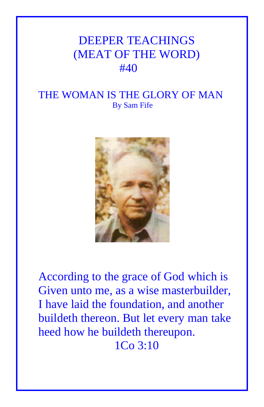## DEEPER TEACHINGS (MEAT OF THE WORD)  $#40$

## THE WOMAN IS THE GLORY OF MAN By Sam Fife



According to the grace of God which is Given unto me, as a wise masterbuilder, I have laid the foundation, and another buildeth thereon. But let every man take heed how he buildeth thereupon. 1Co 3:10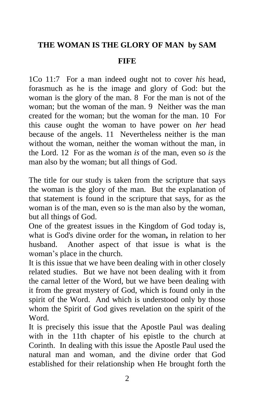## **THE WOMAN IS THE GLORY OF MAN by SAM**

## **FIFE**

1Co 11:7 For a man indeed ought not to cover *his* head, forasmuch as he is the image and glory of God: but the woman is the glory of the man. 8 For the man is not of the woman; but the woman of the man. 9 Neither was the man created for the woman; but the woman for the man. 10 For this cause ought the woman to have power on *her* head because of the angels. 11 Nevertheless neither is the man without the woman, neither the woman without the man, in the Lord. 12 For as the woman *is* of the man, even so *is* the man also by the woman; but all things of God.

The title for our study is taken from the scripture that says the woman is the glory of the man. But the explanation of that statement is found in the scripture that says, for as the woman is of the man, even so is the man also by the woman, but all things of God.

One of the greatest issues in the Kingdom of God today is, what is God's divine order for the woman**,** in relation to her husband. Another aspect of that issue is what is the woman's place in the church.

It is this issue that we have been dealing with in other closely related studies. But we have not been dealing with it from the carnal letter of the Word, but we have been dealing with it from the great mystery of God, which is found only in the spirit of the Word. And which is understood only by those whom the Spirit of God gives revelation on the spirit of the Word.

It is precisely this issue that the Apostle Paul was dealing with in the 11th chapter of his epistle to the church at Corinth. In dealing with this issue the Apostle Paul used the natural man and woman, and the divine order that God established for their relationship when He brought forth the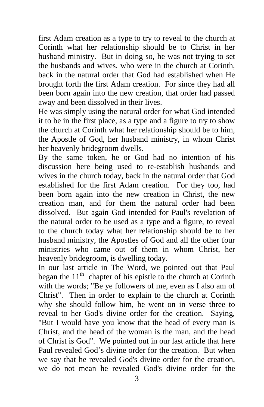first Adam creation as a type to try to reveal to the church at Corinth what her relationship should be to Christ in her husband ministry. But in doing so, he was not trying to set the husbands and wives, who were in the church at Corinth, back in the natural order that God had established when He brought forth the first Adam creation. For since they had all been born again into the new creation, that order had passed away and been dissolved in their lives.

He was simply using the natural order for what God intended it to be in the first place, as a type and a figure to try to show the church at Corinth what her relationship should be to him, the Apostle of God, her husband ministry, in whom Christ her heavenly bridegroom dwells.

By the same token, he or God had no intention of his discussion here being used to re-establish husbands and wives in the church today, back in the natural order that God established for the first Adam creation. For they too, had been born again into the new creation in Christ, the new creation man, and for them the natural order had been dissolved. But again God intended for Paul's revelation of the natural order to be used as a type and a figure, to reveal to the church today what her relationship should be to her husband ministry, the Apostles of God and all the other four ministries who came out of them in whom Christ, her heavenly bridegroom, is dwelling today.

In our last article in The Word, we pointed out that Paul began the  $11<sup>th</sup>$  chapter of his epistle to the church at Corinth with the words; "Be ye followers of me, even as I also am of Christ". Then in order to explain to the church at Corinth why she should follow him, he went on in verse three to reveal to her God's divine order for the creation. Saying, "But I would have you know that the head of every man is Christ, and the head of the woman is the man, and the head of Christ is God". We pointed out in our last article that here Paul revealed God's divine order for the creation. But when we say that he revealed God's divine order for the creation, we do not mean he revealed God's divine order for the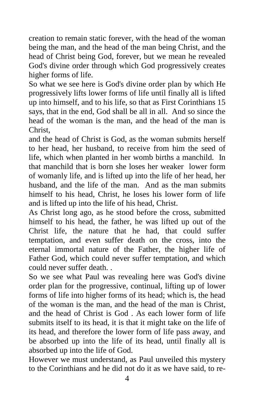creation to remain static forever, with the head of the woman being the man, and the head of the man being Christ, and the head of Christ being God, forever, but we mean he revealed God's divine order through which God progressively creates higher forms of life.

So what we see here is God's divine order plan by which He progressively lifts lower forms of life until finally all is lifted up into himself, and to his life, so that as First Corinthians 15 says, that in the end, God shall be all in all. And so since the head of the woman is the man, and the head of the man is Christ,

and the head of Christ is God, as the woman submits herself to her head, her husband, to receive from him the seed of life, which when planted in her womb births a manchild. In that manchild that is born she loses her weaker lower form of womanly life, and is lifted up into the life of her head, her husband, and the life of the man. And as the man submits himself to his head, Christ, he loses his lower form of life and is lifted up into the life of his head, Christ.

As Christ long ago, as he stood before the cross, submitted himself to his head, the father, he was lifted up out of the Christ life, the nature that he had, that could suffer temptation, and even suffer death on the cross, into the eternal immortal nature of the Father, the higher life of Father God, which could never suffer temptation, and which could never suffer death. .

So we see what Paul was revealing here was God's divine order plan for the progressive, continual, lifting up of lower forms of life into higher forms of its head; which is, the head of the woman is the man, and the head of the man is Christ, and the head of Christ is God . As each lower form of life submits itself to its head, it is that it might take on the life of its head, and therefore the lower form of life pass away, and be absorbed up into the life of its head, until finally all is absorbed up into the life of God.

However we must understand, as Paul unveiled this mystery to the Corinthians and he did not do it as we have said, to re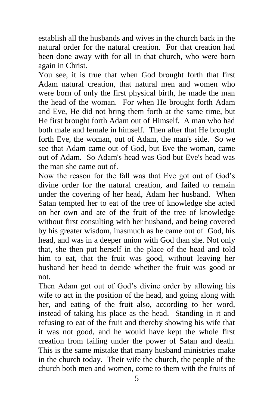establish all the husbands and wives in the church back in the natural order for the natural creation. For that creation had been done away with for all in that church, who were born again in Christ.

You see, it is true that when God brought forth that first Adam natural creation, that natural men and women who were born of only the first physical birth, he made the man the head of the woman. For when He brought forth Adam and Eve, He did not bring them forth at the same time, but He first brought forth Adam out of Himself. A man who had both male and female in himself. Then after that He brought forth Eve, the woman, out of Adam, the man's side. So we see that Adam came out of God, but Eve the woman, came out of Adam. So Adam's head was God but Eve's head was the man she came out of.

Now the reason for the fall was that Eve got out of God's divine order for the natural creation, and failed to remain under the covering of her head, Adam her husband. When Satan tempted her to eat of the tree of knowledge she acted on her own and ate of the fruit of the tree of knowledge without first consulting with her husband, and being covered by his greater wisdom, inasmuch as he came out of God, his head, and was in a deeper union with God than she. Not only that, she then put herself in the place of the head and told him to eat, that the fruit was good, without leaving her husband her head to decide whether the fruit was good or not.

Then Adam got out of God's divine order by allowing his wife to act in the position of the head, and going along with her, and eating of the fruit also, according to her word, instead of taking his place as the head. Standing in it and refusing to eat of the fruit and thereby showing his wife that it was not good, and he would have kept the whole first creation from failing under the power of Satan and death. This is the same mistake that many husband ministries make in the church today. Their wife the church, the people of the church both men and women, come to them with the fruits of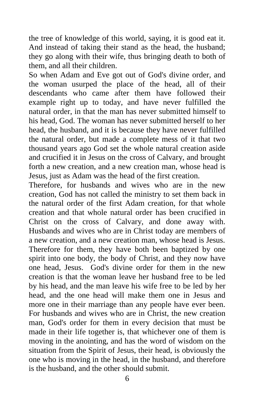the tree of knowledge of this world, saying, it is good eat it. And instead of taking their stand as the head, the husband; they go along with their wife, thus bringing death to both of them, and all their children.

So when Adam and Eve got out of God's divine order, and the woman usurped the place of the head, all of their descendants who came after them have followed their example right up to today, and have never fulfilled the natural order, in that the man has never submitted himself to his head, God. The woman has never submitted herself to her head, the husband, and it is because they have never fulfilled the natural order, but made a complete mess of it that two thousand years ago God set the whole natural creation aside and crucified it in Jesus on the cross of Calvary, and brought forth a new creation, and a new creation man, whose head is Jesus, just as Adam was the head of the first creation.

Therefore, for husbands and wives who are in the new creation, God has not called the ministry to set them back in the natural order of the first Adam creation, for that whole creation and that whole natural order has been crucified in Christ on the cross of Calvary, and done away with. Husbands and wives who are in Christ today are members of a new creation, and a new creation man, whose head is Jesus. Therefore for them, they have both been baptized by one spirit into one body, the body of Christ, and they now have one head, Jesus. God's divine order for them in the new creation is that the woman leave her husband free to be led by his head, and the man leave his wife free to be led by her head, and the one head will make them one in Jesus and more one in their marriage than any people have ever been. For husbands and wives who are in Christ, the new creation man, God's order for them in every decision that must be made in their life together is, that whichever one of them is moving in the anointing, and has the word of wisdom on the situation from the Spirit of Jesus, their head, is obviously the one who is moving in the head, in the husband, and therefore is the husband, and the other should submit.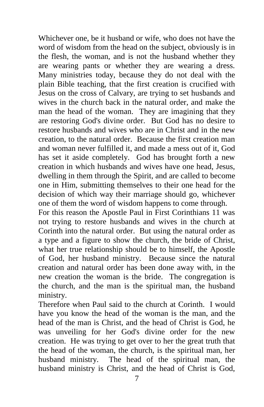Whichever one, be it husband or wife, who does not have the word of wisdom from the head on the subject, obviously is in the flesh, the woman, and is not the husband whether they are wearing pants or whether they are wearing a dress. Many ministries today, because they do not deal with the plain Bible teaching, that the first creation is crucified with Jesus on the cross of Calvary, are trying to set husbands and wives in the church back in the natural order, and make the man the head of the woman. They are imagining that they are restoring God's divine order. But God has no desire to restore husbands and wives who are in Christ and in the new creation, to the natural order. Because the first creation man and woman never fulfilled it, and made a mess out of it, God has set it aside completely. God has brought forth a new creation in which husbands and wives have one head, Jesus, dwelling in them through the Spirit, and are called to become one in Him, submitting themselves to their one head for the decision of which way their marriage should go, whichever one of them the word of wisdom happens to come through.

For this reason the Apostle Paul in First Corinthians 11 was not trying to restore husbands and wives in the church at Corinth into the natural order. But using the natural order as a type and a figure to show the church, the bride of Christ, what her true relationship should be to himself, the Apostle of God, her husband ministry. Because since the natural creation and natural order has been done away with, in the new creation the woman is the bride. The congregation is the church, and the man is the spiritual man, the husband ministry.

Therefore when Paul said to the church at Corinth. I would have you know the head of the woman is the man, and the head of the man is Christ, and the head of Christ is God, he was unveiling for her God's divine order for the new creation. He was trying to get over to her the great truth that the head of the woman, the church, is the spiritual man, her husband ministry. The head of the spiritual man, the husband ministry is Christ, and the head of Christ is God,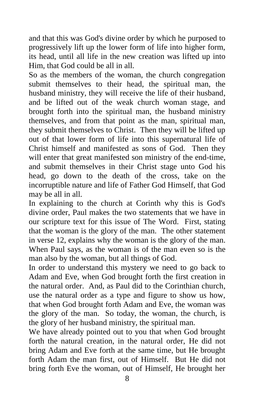and that this was God's divine order by which he purposed to progressively lift up the lower form of life into higher form, its head, until all life in the new creation was lifted up into Him, that God could be all in all.

So as the members of the woman, the church congregation submit themselves to their head, the spiritual man, the husband ministry, they will receive the life of their husband, and be lifted out of the weak church woman stage, and brought forth into the spiritual man, the husband ministry themselves, and from that point as the man, spiritual man, they submit themselves to Christ. Then they will be lifted up out of that lower form of life into this supernatural life of Christ himself and manifested as sons of God. Then they will enter that great manifested son ministry of the end-time, and submit themselves in their Christ stage unto God his head, go down to the death of the cross, take on the incorruptible nature and life of Father God Himself, that God may be all in all.

In explaining to the church at Corinth why this is God's divine order, Paul makes the two statements that we have in our scripture text for this issue of The Word. First, stating that the woman is the glory of the man. The other statement in verse 12, explains why the woman is the glory of the man. When Paul says, as the woman is of the man even so is the man also by the woman, but all things of God.

In order to understand this mystery we need to go back to Adam and Eve, when God brought forth the first creation in the natural order. And, as Paul did to the Corinthian church, use the natural order as a type and figure to show us how, that when God brought forth Adam and Eve, the woman was the glory of the man. So today, the woman, the church, is the glory of her husband ministry, the spiritual man.

We have already pointed out to you that when God brought forth the natural creation, in the natural order, He did not bring Adam and Eve forth at the same time, but He brought forth Adam the man first, out of Himself. But He did not bring forth Eve the woman, out of Himself, He brought her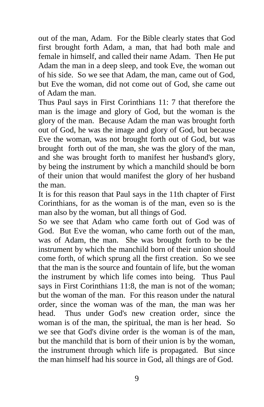out of the man, Adam. For the Bible clearly states that God first brought forth Adam, a man, that had both male and female in himself, and called their name Adam. Then He put Adam the man in a deep sleep, and took Eve, the woman out of his side. So we see that Adam, the man, came out of God, but Eve the woman, did not come out of God, she came out of Adam the man.

Thus Paul says in First Corinthians 11: 7 that therefore the man is the image and glory of God, but the woman is the glory of the man. Because Adam the man was brought forth out of God, he was the image and glory of God, but because Eve the woman, was not brought forth out of God, but was brought forth out of the man, she was the glory of the man, and she was brought forth to manifest her husband's glory, by being the instrument by which a manchild should be born of their union that would manifest the glory of her husband the man.

It is for this reason that Paul says in the 11th chapter of First Corinthians, for as the woman is of the man, even so is the man also by the woman, but all things of God.

So we see that Adam who came forth out of God was of God. But Eve the woman, who came forth out of the man, was of Adam, the man. She was brought forth to be the instrument by which the manchild born of their union should come forth, of which sprung all the first creation. So we see that the man is the source and fountain of life, but the woman the instrument by which life comes into being. Thus Paul says in First Corinthians 11:8, the man is not of the woman; but the woman of the man. For this reason under the natural order, since the woman was of the man, the man was her head. Thus under God's new creation order, since the woman is of the man, the spiritual, the man is her head. So we see that God's divine order is the woman is of the man, but the manchild that is born of their union is by the woman, the instrument through which life is propagated. But since the man himself had his source in God, all things are of God.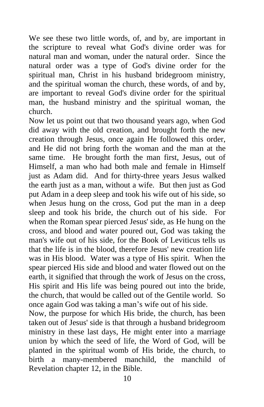We see these two little words, of, and by, are important in the scripture to reveal what God's divine order was for natural man and woman, under the natural order. Since the natural order was a type of God's divine order for the spiritual man, Christ in his husband bridegroom ministry, and the spiritual woman the church, these words, of and by, are important to reveal God's divine order for the spiritual man, the husband ministry and the spiritual woman, the church.

Now let us point out that two thousand years ago, when God did away with the old creation, and brought forth the new creation through Jesus, once again He followed this order, and He did not bring forth the woman and the man at the same time. He brought forth the man first, Jesus, out of Himself, a man who had both male and female in Himself just as Adam did. And for thirty-three years Jesus walked the earth just as a man, without a wife. But then just as God put Adam in a deep sleep and took his wife out of his side, so when Jesus hung on the cross, God put the man in a deep sleep and took his bride, the church out of his side. For when the Roman spear pierced Jesus' side, as He hung on the cross, and blood and water poured out, God was taking the man's wife out of his side, for the Book of Leviticus tells us that the life is in the blood, therefore Jesus' new creation life was in His blood. Water was a type of His spirit. When the spear pierced His side and blood and water flowed out on the earth, it signified that through the work of Jesus on the cross, His spirit and His life was being poured out into the bride, the church, that would be called out of the Gentile world. So once again God was taking a man's wife out of his side.

Now, the purpose for which His bride, the church, has been taken out of Jesus' side is that through a husband bridegroom ministry in these last days, He might enter into a marriage union by which the seed of life, the Word of God, will be planted in the spiritual womb of His bride, the church, to birth a many-membered manchild, the manchild of Revelation chapter 12, in the Bible.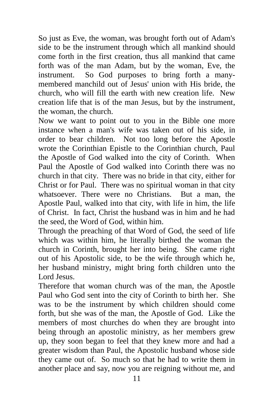So just as Eve, the woman, was brought forth out of Adam's side to be the instrument through which all mankind should come forth in the first creation, thus all mankind that came forth was of the man Adam, but by the woman, Eve, the instrument. So God purposes to bring forth a manymembered manchild out of Jesus' union with His bride, the church, who will fill the earth with new creation life. New creation life that is of the man Jesus, but by the instrument, the woman, the church.

Now we want to point out to you in the Bible one more instance when a man's wife was taken out of his side, in order to bear children. Not too long before the Apostle wrote the Corinthian Epistle to the Corinthian church, Paul the Apostle of God walked into the city of Corinth. When Paul the Apostle of God walked into Corinth there was no church in that city. There was no bride in that city, either for Christ or for Paul. There was no spiritual woman in that city whatsoever. There were no Christians. But a man, the Apostle Paul, walked into that city, with life in him, the life of Christ. In fact, Christ the husband was in him and he had the seed, the Word of God, within him.

Through the preaching of that Word of God, the seed of life which was within him, he literally birthed the woman the church in Corinth, brought her into being. She came right out of his Apostolic side, to be the wife through which he, her husband ministry, might bring forth children unto the Lord Jesus.

Therefore that woman church was of the man, the Apostle Paul who God sent into the city of Corinth to birth her. She was to be the instrument by which children should come forth, but she was of the man, the Apostle of God. Like the members of most churches do when they are brought into being through an apostolic ministry, as her members grew up, they soon began to feel that they knew more and had a greater wisdom than Paul, the Apostolic husband whose side they came out of. So much so that he had to write them in another place and say, now you are reigning without me, and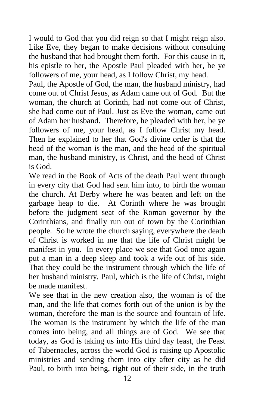I would to God that you did reign so that I might reign also. Like Eve, they began to make decisions without consulting the husband that had brought them forth. For this cause in it, his epistle to her, the Apostle Paul pleaded with her, be ye followers of me, your head, as I follow Christ, my head.

Paul, the Apostle of God, the man, the husband ministry, had come out of Christ Jesus, as Adam came out of God. But the woman, the church at Corinth, had not come out of Christ, she had come out of Paul. Just as Eve the woman, came out of Adam her husband. Therefore, he pleaded with her, be ye followers of me, your head, as I follow Christ my head. Then he explained to her that God's divine order is that the head of the woman is the man, and the head of the spiritual man, the husband ministry, is Christ, and the head of Christ is God.

We read in the Book of Acts of the death Paul went through in every city that God had sent him into, to birth the woman the church. At Derby where he was beaten and left on the garbage heap to die. At Corinth where he was brought before the judgment seat of the Roman governor by the Corinthians, and finally run out of town by the Corinthian people. So he wrote the church saying, everywhere the death of Christ is worked in me that the life of Christ might be manifest in you. In every place we see that God once again put a man in a deep sleep and took a wife out of his side. That they could be the instrument through which the life of her husband ministry, Paul, which is the life of Christ, might be made manifest.

We see that in the new creation also, the woman is of the man, and the life that comes forth out of the union is by the woman, therefore the man is the source and fountain of life. The woman is the instrument by which the life of the man comes into being, and all things are of God. We see that today, as God is taking us into His third day feast, the Feast of Tabernacles, across the world God is raising up Apostolic ministries and sending them into city after city as he did Paul, to birth into being, right out of their side, in the truth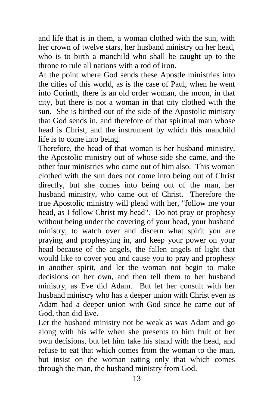and life that is in them, a woman clothed with the sun, with her crown of twelve stars, her husband ministry on her head, who is to birth a manchild who shall be caught up to the throne to rule all nations with a rod of iron.

At the point where God sends these Apostle ministries into the cities of this world, as is the case of Paul, when he went into Corinth, there is an old order woman, the moon, in that city, but there is not a woman in that city clothed with the sun. She is birthed out of the side of the Apostolic ministry that God sends in, and therefore of that spiritual man whose head is Christ, and the instrument by which this manchild life is to come into being.

Therefore, the head of that woman is her husband ministry, the Apostolic ministry out of whose side she came, and the other four ministries who came out of him also. This woman clothed with the sun does not come into being out of Christ directly, but she comes into being out of the man, her husband ministry, who came out of Christ. Therefore the true Apostolic ministry will plead with her, "follow me your head, as I follow Christ my head". Do not pray or prophesy without being under the covering of your head, your husband ministry, to watch over and discern what spirit you are praying and prophesying in, and keep your power on your head because of the angels, the fallen angels of light that would like to cover you and cause you to pray and prophesy in another spirit, and let the woman not begin to make decisions on her own, and then tell them to her husband ministry, as Eve did Adam. But let her consult with her husband ministry who has a deeper union with Christ even as Adam had a deeper union with God since he came out of God, than did Eve.

Let the husband ministry not be weak as was Adam and go along with his wife when she presents to him fruit of her own decisions, but let him take his stand with the head, and refuse to eat that which comes from the woman to the man, but insist on the woman eating only that which comes through the man, the husband ministry from God.